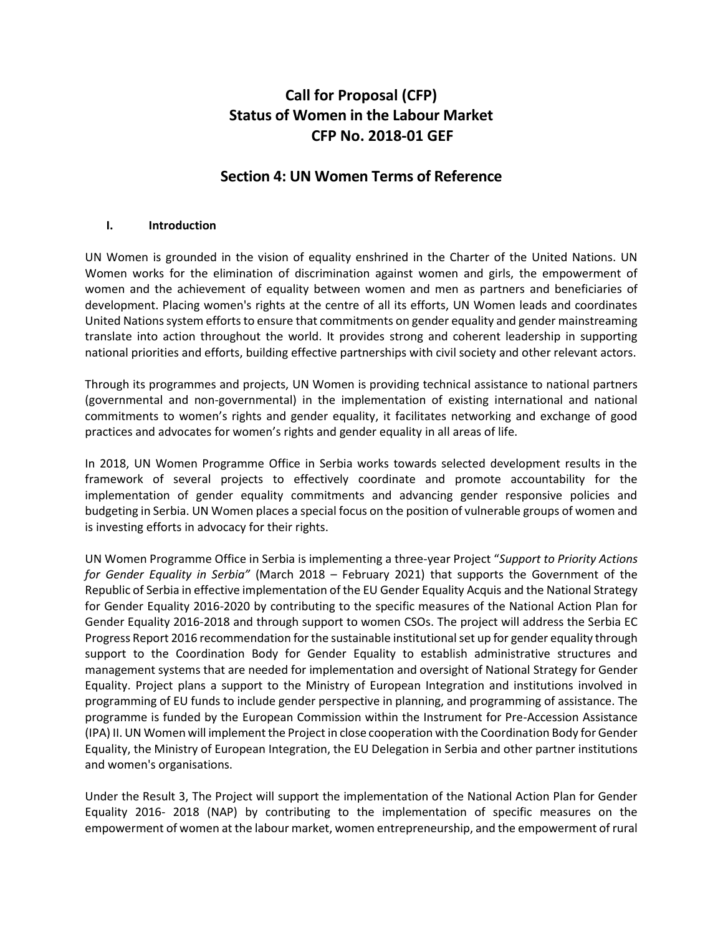# **Call for Proposal (CFP) Status of Women in the Labour Market CFP No. 2018-01 GEF**

## **Section 4: UN Women Terms of Reference**

#### **I. Introduction**

UN Women is grounded in the vision of equality enshrined in the Charter of the United Nations. UN Women works for the elimination of discrimination against women and girls, the empowerment of women and the achievement of equality between women and men as partners and beneficiaries of development. Placing women's rights at the centre of all its efforts, UN Women leads and coordinates United Nations system efforts to ensure that commitments on gender equality and gender mainstreaming translate into action throughout the world. It provides strong and coherent leadership in supporting national priorities and efforts, building effective partnerships with civil society and other relevant actors.

Through its programmes and projects, UN Women is providing technical assistance to national partners (governmental and non-governmental) in the implementation of existing international and national commitments to women's rights and gender equality, it facilitates networking and exchange of good practices and advocates for women's rights and gender equality in all areas of life.

In 2018, UN Women Programme Office in Serbia works towards selected development results in the framework of several projects to effectively coordinate and promote accountability for the implementation of gender equality commitments and advancing gender responsive policies and budgeting in Serbia. UN Women places a special focus on the position of vulnerable groups of women and is investing efforts in advocacy for their rights.

UN Women Programme Office in Serbia is implementing a three-year Project "*Support to Priority Actions for Gender Equality in Serbia"* (March 2018 – February 2021) that supports the Government of the Republic of Serbia in effective implementation of the EU Gender Equality Acquis and the National Strategy for Gender Equality 2016-2020 by contributing to the specific measures of the National Action Plan for Gender Equality 2016-2018 and through support to women CSOs. The project will address the Serbia EC Progress Report 2016 recommendation for the sustainable institutional set up for gender equality through support to the Coordination Body for Gender Equality to establish administrative structures and management systems that are needed for implementation and oversight of National Strategy for Gender Equality. Project plans a support to the Ministry of European Integration and institutions involved in programming of EU funds to include gender perspective in planning, and programming of assistance. The programme is funded by the European Commission within the Instrument for Pre-Accession Assistance (IPA) II. UN Women will implement the Project in close cooperation with the Coordination Body for Gender Equality, the Ministry of European Integration, the EU Delegation in Serbia and other partner institutions and women's organisations.

Under the Result 3, The Project will support the implementation of the National Action Plan for Gender Equality 2016- 2018 (NAP) by contributing to the implementation of specific measures on the empowerment of women at the labour market, women entrepreneurship, and the empowerment of rural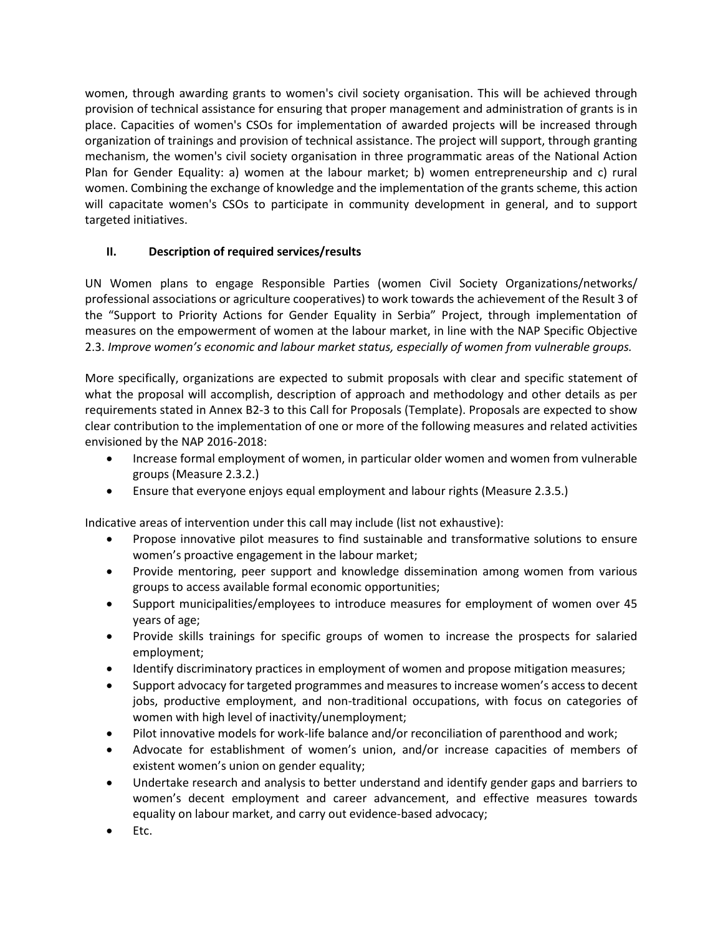women, through awarding grants to women's civil society organisation. This will be achieved through provision of technical assistance for ensuring that proper management and administration of grants is in place. Capacities of women's CSOs for implementation of awarded projects will be increased through organization of trainings and provision of technical assistance. The project will support, through granting mechanism, the women's civil society organisation in three programmatic areas of the National Action Plan for Gender Equality: a) women at the labour market; b) women entrepreneurship and c) rural women. Combining the exchange of knowledge and the implementation of the grants scheme, this action will capacitate women's CSOs to participate in community development in general, and to support targeted initiatives.

## **II. Description of required services/results**

UN Women plans to engage Responsible Parties (women Civil Society Organizations/networks/ professional associations or agriculture cooperatives) to work towards the achievement of the Result 3 of the "Support to Priority Actions for Gender Equality in Serbia" Project, through implementation of measures on the empowerment of women at the labour market, in line with the NAP Specific Objective 2.3. *Improve women's economic and labour market status, especially of women from vulnerable groups.*

More specifically, organizations are expected to submit proposals with clear and specific statement of what the proposal will accomplish, description of approach and methodology and other details as per requirements stated in Annex B2-3 to this Call for Proposals (Template). Proposals are expected to show clear contribution to the implementation of one or more of the following measures and related activities envisioned by the NAP 2016-2018:

- Increase formal employment of women, in particular older women and women from vulnerable groups (Measure 2.3.2.)
- Ensure that everyone enjoys equal employment and labour rights (Measure 2.3.5.)

Indicative areas of intervention under this call may include (list not exhaustive):

- Propose innovative pilot measures to find sustainable and transformative solutions to ensure women's proactive engagement in the labour market;
- Provide mentoring, peer support and knowledge dissemination among women from various groups to access available formal economic opportunities;
- Support municipalities/employees to introduce measures for employment of women over 45 years of age;
- Provide skills trainings for specific groups of women to increase the prospects for salaried employment;
- Identify discriminatory practices in employment of women and propose mitigation measures;
- Support advocacy for targeted programmes and measures to increase women's access to decent jobs, productive employment, and non-traditional occupations, with focus on categories of women with high level of inactivity/unemployment;
- Pilot innovative models for work-life balance and/or reconciliation of parenthood and work;
- Advocate for establishment of women's union, and/or increase capacities of members of existent women's union on gender equality;
- Undertake research and analysis to better understand and identify gender gaps and barriers to women's decent employment and career advancement, and effective measures towards equality on labour market, and carry out evidence-based advocacy;
- Etc.